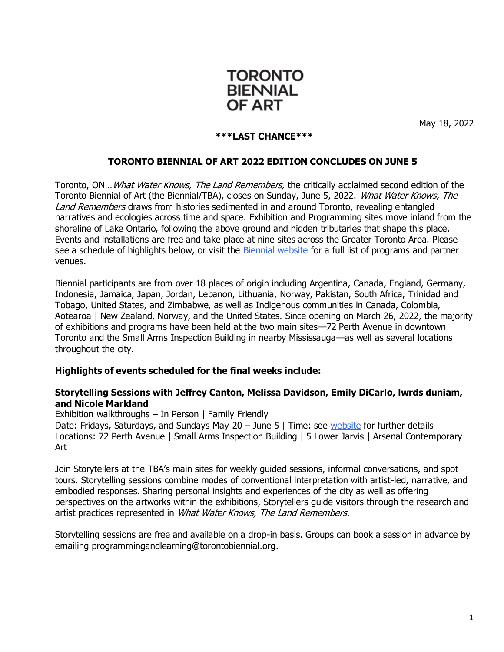

May 18, 2022

#### **\*\*\*LAST CHANCE\*\*\***

### **TORONTO BIENNIAL OF ART 2022 EDITION CONCLUDES ON JUNE 5**

Toronto, ON... What Water Knows, The Land Remembers, the critically acclaimed second edition of the Toronto Biennial of Art (the Biennial/TBA), closes on Sunday, June 5, 2022. What Water Knows, The Land Remembers draws from histories sedimented in and around Toronto, revealing entangled narratives and ecologies across time and space. Exhibition and Programming sites move inland from the shoreline of Lake Ontario, following the above ground and hidden tributaries that shape this place. Events and installations are free and take place at nine sites across the Greater Toronto Area. Please see a schedule of highlights below, or visit the [Biennial website](https://torontobiennial.org/) for a full list of programs and partner venues.

Biennial participants are from over 18 places of origin including Argentina, Canada, England, Germany, Indonesia, Jamaica, Japan, Jordan, Lebanon, Lithuania, Norway, Pakistan, South Africa, Trinidad and Tobago, United States, and Zimbabwe, as well as Indigenous communities in Canada, Colombia, Aotearoa | New Zealand, Norway, and the United States. Since opening on March 26, 2022, the majority of exhibitions and programs have been held at the two main sites—72 Perth Avenue in downtown Toronto and the Small Arms Inspection Building in nearby Mississauga—as well as several locations throughout the city.

### **Highlights of events scheduled for the final weeks include:**

### **Storytelling Sessions with Jeffrey Canton, Melissa Davidson, Emily DiCarlo, lwrds duniam, and Nicole Markland**

Exhibition walkthroughs – In Person | Family Friendly

Date: Fridays, Saturdays, and Sundays May 20 – June 5 | Time: see [website](https://torontobiennial.org/storytelling-2022/) for further details Locations: [72 Perth Avenue](https://torontobiennial.org/programs/storytelling-at-72-perth/) | [Small Arms Inspection Building](https://torontobiennial.org/programs/storytelling-at-small-arms-inspection-building/) | [5 Lower Jarvis](https://torontobiennial.org/programs/storytelling-at-5-lower-jarvis/) [| Arsenal Contemporary](https://torontobiennial.org/programs/storytelling-at-arsenal-contemporary-toronto/) Art

Join Storytellers at the TBA's main sites for weekly guided sessions, informal conversations, and spot tours. Storytelling sessions combine modes of conventional interpretation with artist-led, narrative, and embodied responses. Sharing personal insights and experiences of the city as well as offering perspectives on the artworks within the exhibitions, Storytellers guide visitors through the research and artist practices represented in What Water Knows, The Land Remembers.

Storytelling sessions are free and available on a drop-in basis. Groups can book a session in advance by emailing [programmingandlearning@torontobiennial.org.](mailto:programmingandlearning@torontobiennial.org)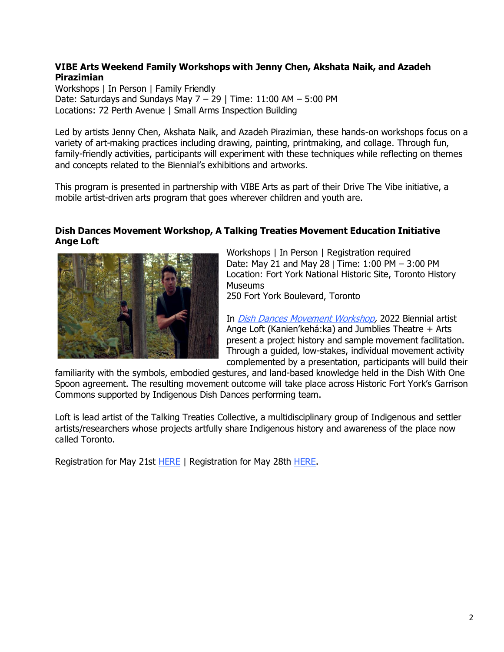## **VIBE Arts Weekend Family Workshops with Jenny Chen, Akshata Naik, and Azadeh Pirazimian**

Workshops | In Person | Family Friendly Date: Saturdays and Sundays May  $7 - 29$  | Time: 11:00 AM  $- 5:00$  PM Locations: [72 Perth Avenue](https://torontobiennial.org/programs/vibe-arts-72-perth/var/ri-1.l-L1/) | [Small Arms Inspection Building](https://torontobiennial.org/programs/vibe-arts-weekend-family-workshops-at-saib/)

Led by artists Jenny Chen, Akshata Naik, and Azadeh Pirazimian, these hands-on workshops focus on a variety of art-making practices including drawing, painting, printmaking, and collage. Through fun, family-friendly activities, participants will experiment with these techniques while reflecting on themes and concepts related to the Biennial's exhibitions and artworks.

This program is presented in partnership with VIBE Arts as part of their Drive The Vibe initiative, a mobile artist-driven arts program that goes wherever children and youth are.

### **Dish Dances Movement Workshop, A Talking Treaties Movement Education Initiative Ange Loft**



Workshops | In Person | Registration required Date: May 21 and May 28 | Time: 1:00 PM – 3:00 PM Location: [Fort York National Historic Site, Toronto History](https://torontobiennial.org/site/fort-york/)  [Museums](https://torontobiennial.org/site/fort-york/) 250 Fort York Boulevard, Toronto

In [Dish Dances Movement Workshop,](https://torontobiennial.org/programs/dish-dances-movement-workshop-a-talking-treaties-movement-education-initiative/) 2022 Biennial artist

Ange Loft (Kanien'kehá:ka) and Jumblies Theatre + Arts present a project history and sample movement facilitation. Through a guided, low-stakes, individual movement activity complemented by a presentation, participants will build their

familiarity with the symbols, embodied gestures, and land-based knowledge held in the Dish With One Spoon agreement. The resulting movement outcome will take place across Historic Fort York's Garrison Commons supported by Indigenous Dish Dances performing team.

Loft is lead artist of the Talking Treaties Collective, a multidisciplinary group of Indigenous and settler artists/researchers whose projects artfully share Indigenous history and awareness of the place now called Toronto.

Registration for May 21st **[HERE](https://torontobiennial.tickit.ca/events/14781)** | Registration for May 28th [HERE.](https://torontobiennial.tickit.ca/events/14782)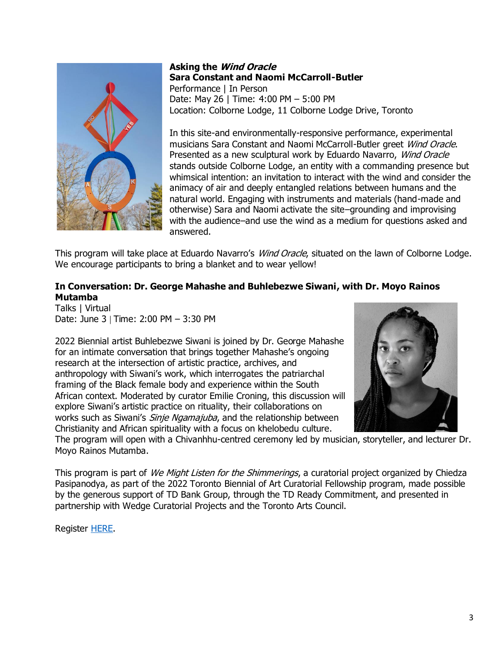

### **Asking the Wind Oracle Sara Constant and Naomi McCarroll-Butler** Performance | In Person Date: May 26 | Time: 4:00 PM – 5:00 PM Location: [Colborne Lodge,](https://torontobiennial.org/site/colborne-lodge/) 11 Colborne Lodge Drive, Toronto

In this site-and environmentally-responsive performance, experimental musicians Sara Constant and Naomi McCarroll-Butler greet Wind Oracle. Presented as a new sculptural work by Eduardo Navarro, Wind Oracle stands outside Colborne Lodge, an entity with a commanding presence but whimsical intention: an invitation to interact with the wind and consider the animacy of air and deeply entangled relations between humans and the natural world. Engaging with instruments and materials (hand-made and otherwise) Sara and Naomi activate the site–grounding and improvising with the audience–and use the wind as a medium for questions asked and answered.

This program will take place at Eduardo Navarro's Wind Oracle, situated on the lawn of Colborne Lodge. We encourage participants to bring a blanket and to wear yellow!

## **In Conversation: Dr. George Mahashe and Buhlebezwe Siwani, with Dr. Moyo Rainos Mutamba**

Talks | Virtual Date: June 3 | Time: 2:00 PM – 3:30 PM

2022 Biennial artist Buhlebezwe Siwani is joined by Dr. George Mahashe for an intimate conversation that brings together Mahashe's ongoing research at the intersection of artistic practice, archives, and anthropology with Siwani's work, which interrogates the patriarchal framing of the Black female body and experience within the South African context. Moderated by curator Emilie Croning, this discussion will explore Siwani's artistic practice on rituality, their collaborations on works such as Siwani's *Sinie Ngamajuba*, and the relationship between Christianity and African spirituality with a focus on khelobedu culture.



The program will open with a Chivanhhu-centred ceremony led by musician, storyteller, and lecturer Dr. Moyo Rainos Mutamba.

This program is part of We Might Listen for the Shimmerings, a curatorial project organized by Chiedza Pasipanodya, as part of the 2022 Toronto Biennial of Art Curatorial Fellowship program, made possible by the generous support of TD Bank Group, through the TD Ready Commitment, and presented in partnership with Wedge Curatorial Projects and the Toronto Arts Council.

Register [HERE.](https://torontobiennial.tickit.ca/events/15550#t-7f049e714)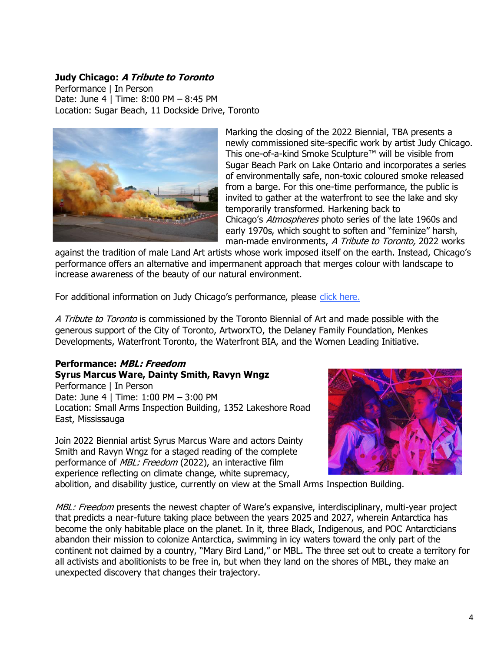### **Judy Chicago: A Tribute to Toronto**

Performance | In Person Date: June 4 | Time: 8:00 PM – 8:45 PM Location: [Sugar Beach,](https://www.toronto.ca/data/parks/prd/facilities/complex/2261/index.html) 11 Dockside Drive, Toronto



Marking the closing of the 2022 Biennial, TBA presents a newly commissioned site-specific work by artist Judy Chicago. This one-of-a-kind Smoke Sculpture™ will be visible from Sugar Beach Park on Lake Ontario and incorporates a series of environmentally safe, non-toxic coloured smoke released from a barge. For this one-time performance, the public is invited to gather at the waterfront to see the lake and sky temporarily transformed. Harkening back to Chicago's Atmospheres photo series of the late 1960s and early 1970s, which sought to soften and "feminize" harsh, man-made environments, A Tribute to Toronto, 2022 works

against the tradition of male Land Art artists whose work imposed itself on the earth. Instead, Chicago's performance offers an alternative and impermanent approach that merges colour with landscape to increase awareness of the beauty of our natural environment.

For additional information on Judy Chicago's performance, please [click here.](https://torontobiennial.org/information-page-a-tribute-to-toronto-by-judy-chicago/)

A Tribute to Toronto is commissioned by the Toronto Biennial of Art and made possible with the generous support of the City of Toronto, ArtworxTO, the Delaney Family Foundation, Menkes Developments, Waterfront Toronto, the Waterfront BIA, and the Women Leading Initiative.

# **Performance: MBL: Freedom Syrus Marcus Ware, Dainty Smith, Ravyn Wngz**

Performance | In Person Date: June 4 | Time: 1:00 PM – 3:00 PM Location: [Small Arms Inspection Building,](https://torontobiennial.org/site/small-arms-inspection-building-2022/) 1352 Lakeshore Road East, Mississauga

Join 2022 Biennial artist Syrus Marcus Ware and actors Dainty Smith and Ravyn Wngz for a staged reading of the complete performance of MBL: Freedom (2022), an interactive film experience reflecting on climate change, white supremacy,



abolition, and disability justice, currently on view at the Small Arms Inspection Building.

MBL: Freedom presents the newest chapter of Ware's expansive, interdisciplinary, multi-year project that predicts a near-future taking place between the years 2025 and 2027, wherein Antarctica has become the only habitable place on the planet. In it, three Black, Indigenous, and POC Antarcticians abandon their mission to colonize Antarctica, swimming in icy waters toward the only part of the continent not claimed by a country, "Mary Bird Land," or MBL. The three set out to create a territory for all activists and abolitionists to be free in, but when they land on the shores of MBL, they make an unexpected discovery that changes their trajectory.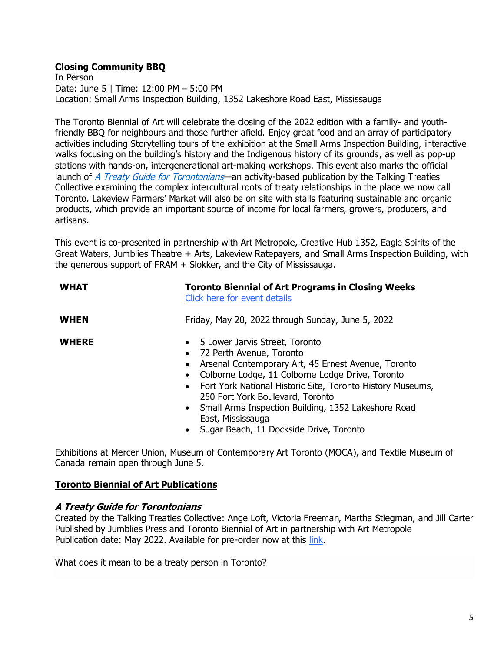## **Closing Community BBQ**

In Person Date: June 5 | Time: 12:00 PM – 5:00 PM Location: [Small Arms Inspection Building,](https://torontobiennial.org/site/small-arms-inspection-building-2022/) 1352 Lakeshore Road East, Mississauga

The Toronto Biennial of Art will celebrate the closing of the 2022 edition with a family- and youthfriendly BBQ for neighbours and those further afield. Enjoy great food and an array of participatory activities including Storytelling tours of the exhibition at the Small Arms Inspection Building, interactive walks focusing on the building's history and the Indigenous history of its grounds, as well as pop-up stations with hands-on, intergenerational art-making workshops. This event also marks the official launch of *[A Treaty Guide for Torontonians](https://artmetropole.com/shop/14892)*—an activity-based publication by the Talking Treaties Collective examining the complex intercultural roots of treaty relationships in the place we now call Toronto. Lakeview Farmers' Market will also be on site with stalls featuring sustainable and organic products, which provide an important source of income for local farmers, growers, producers, and artisans.

This event is co-presented in partnership with Art Metropole, Creative Hub 1352, Eagle Spirits of the Great Waters, Jumblies Theatre + Arts, Lakeview Ratepayers, and Small Arms Inspection Building, with the generous support of FRAM + Slokker, and the City of Mississauga.

| <b>WHAT</b>  | <b>Toronto Biennial of Art Programs in Closing Weeks</b><br>Click here for event details                                                                                                                                                                                                                                                                                                                                                                 |
|--------------|----------------------------------------------------------------------------------------------------------------------------------------------------------------------------------------------------------------------------------------------------------------------------------------------------------------------------------------------------------------------------------------------------------------------------------------------------------|
| <b>WHEN</b>  | Friday, May 20, 2022 through Sunday, June 5, 2022                                                                                                                                                                                                                                                                                                                                                                                                        |
| <b>WHERE</b> | 5 Lower Jarvis Street, Toronto<br>$\bullet$<br>• 72 Perth Avenue, Toronto<br>Arsenal Contemporary Art, 45 Ernest Avenue, Toronto<br>$\bullet$<br>Colborne Lodge, 11 Colborne Lodge Drive, Toronto<br>$\bullet$<br>• Fort York National Historic Site, Toronto History Museums,<br>250 Fort York Boulevard, Toronto<br>• Small Arms Inspection Building, 1352 Lakeshore Road<br>East, Mississauga<br>Sugar Beach, 11 Dockside Drive, Toronto<br>$\bullet$ |

Exhibitions at [Mercer Union,](https://torontobiennial.org/site/mercer-union/) [Museum of Contemporary Art Toronto \(MOCA\)](https://torontobiennial.org/site/museum-of-contemporary-art-toronto-2022/), and [Textile Museum of](https://torontobiennial.org/site/textile-museum-of-canada/)  [Canada](https://torontobiennial.org/site/textile-museum-of-canada/) remain open through June 5.

## **Toronto Biennial of Art Publications**

### **A Treaty Guide for Torontonians**

Created by the [Talking Treaties Collective:](https://talkingtreaties.ca/) Ange Loft, Victoria Freeman, Martha Stiegman, and Jill Carter Published by Jumblies Press and Toronto Biennial of Art in partnership with Art Metropole Publication date: May 2022. Available for pre-order now at this [link.](https://artmetropole.com/shop/14892)

What does it mean to be a treaty person in Toronto?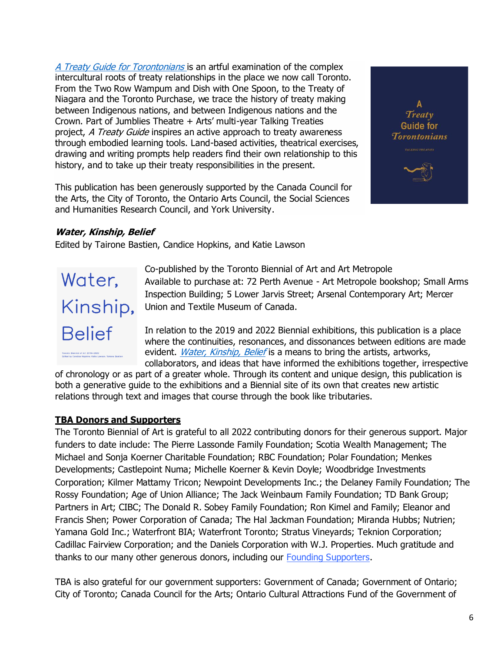[A Treaty Guide for Torontonians](https://artmetropole.com/shop/14892) is an artful examination of the complex intercultural roots of treaty relationships in the place we now call Toronto. From the Two Row Wampum and Dish with One Spoon, to the Treaty of Niagara and the Toronto Purchase, we trace the history of treaty making between Indigenous nations, and between Indigenous nations and the Crown. Part of Jumblies Theatre + Arts' multi-year Talking Treaties project, A Treaty Guide inspires an active approach to treaty awareness through embodied learning tools. Land-based activities, theatrical exercises, drawing and writing prompts help readers find their own relationship to this history, and to take up their treaty responsibilities in the present.

This publication has been generously supported by the Canada Council for the Arts, the City of Toronto, the Ontario Arts Council, the Social Sciences and Humanities Research Council, and York University.



# **Water, Kinship, Belief**

Edited by Tairone Bastien, Candice Hopkins, and Katie Lawson



Co-published by the Toronto Biennial of Art and Art Metropole Available to purchase at: 72 Perth Avenue - Art Metropole bookshop; Small Arms Inspection Building; 5 Lower Jarvis Street; Arsenal Contemporary Art; Mercer Union and Textile Museum of Canada.

In relation to the 2019 and 2022 Biennial exhibitions, this publication is a place where the continuities, resonances, and dissonances between editions are made evident. *[Water, Kinship, Belief](https://artmetropole.com/shop/14831)* is a means to bring the artists, artworks, collaborators, and ideas that have informed the exhibitions together, irrespective

of chronology or as part of a greater whole. Through its content and unique design, this publication is both a generative guide to the exhibitions and a Biennial site of its own that creates new artistic relations through text and images that course through the book like tributaries.

## **TBA Donors and Supporters**

The Toronto Biennial of Art is grateful to all 2022 contributing donors for their generous support. Major funders to date include: The Pierre Lassonde Family Foundation; Scotia Wealth Management; The Michael and Sonja Koerner Charitable Foundation; RBC Foundation; Polar Foundation; Menkes Developments; Castlepoint Numa; Michelle Koerner & Kevin Doyle; Woodbridge Investments Corporation; Kilmer Mattamy Tricon; Newpoint Developments Inc.; the Delaney Family Foundation; The Rossy Foundation; Age of Union Alliance; The Jack Weinbaum Family Foundation; TD Bank Group; Partners in Art; CIBC; The Donald R. Sobey Family Foundation; Ron Kimel and Family; Eleanor and Francis Shen; Power Corporation of Canada; The Hal Jackman Foundation; Miranda Hubbs; Nutrien; Yamana Gold Inc.; Waterfront BIA; Waterfront Toronto; Stratus Vineyards; Teknion Corporation; Cadillac Fairview Corporation; and the Daniels Corporation with W.J. Properties. Much gratitude and thanks to our many other generous donors, including our [Founding Supporters.](https://torontobiennial.org/donors-and-supporters/)

TBA is also grateful for our government supporters: Government of Canada; Government of Ontario; City of Toronto; Canada Council for the Arts; Ontario Cultural Attractions Fund of the Government of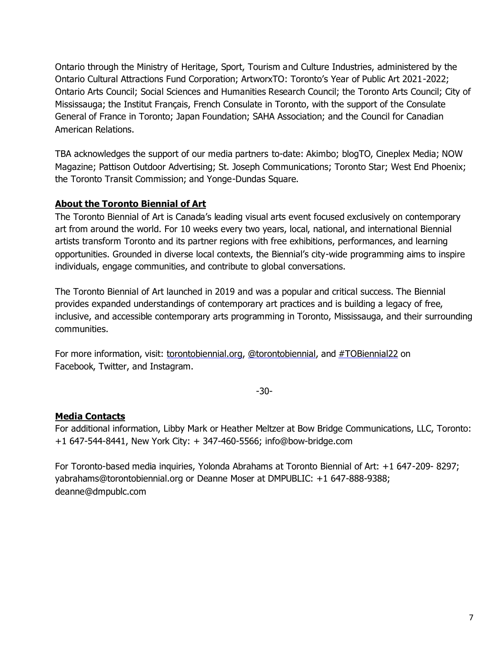Ontario through the Ministry of Heritage, Sport, Tourism and Culture Industries, administered by the Ontario Cultural Attractions Fund Corporation; ArtworxTO: Toronto's Year of Public Art 2021-2022; Ontario Arts Council; Social Sciences and Humanities Research Council; the Toronto Arts Council; City of Mississauga; the Institut Français, French Consulate in Toronto, with the support of the Consulate General of France in Toronto; Japan Foundation; SAHA Association; and the Council for Canadian American Relations.

TBA acknowledges the support of our media partners to-date: Akimbo; blogTO, Cineplex Media; NOW Magazine; Pattison Outdoor Advertising; St. Joseph Communications; Toronto Star; West End Phoenix; the Toronto Transit Commission; and Yonge-Dundas Square.

## **About the Toronto Biennial of Art**

The Toronto Biennial of Art is Canada's leading visual arts event focused exclusively on contemporary art from around the world. For 10 weeks every two years, local, national, and international Biennial artists transform Toronto and its partner regions with free exhibitions, performances, and learning opportunities. Grounded in diverse local contexts, the Biennial's city-wide programming aims to inspire individuals, engage communities, and contribute to global conversations.

The Toronto Biennial of Art launched in 2019 and was a popular and critical success. The Biennial provides expanded understandings of contemporary art practices and is building a legacy of free, inclusive, and accessible contemporary arts programming in Toronto, Mississauga, and their surrounding communities.

For more information, visit: torontobiennial.org, @torontobiennial, and #TOBiennial22 on Facebook, Twitter, and Instagram.

-30-

# **Media Contacts**

For additional information, Libby Mark or Heather Meltzer at Bow Bridge Communications, LLC, Toronto: +1 647-544-8441, New York City: + 347-460-5566; [info@bow-bridge.com](mailto:info@bow-bridge.com)

For Toronto-based media inquiries, Yolonda Abrahams at Toronto Biennial of Art: +1 647-209- 8297; [yabrahams@torontobiennial.org or D](mailto:yabrahams@torontobiennial.orgor)eanne Moser at DMPUBLIC: +1 647-888-9388; [deanne@dmpublc.com](mailto:deanne@dmpublc.com)